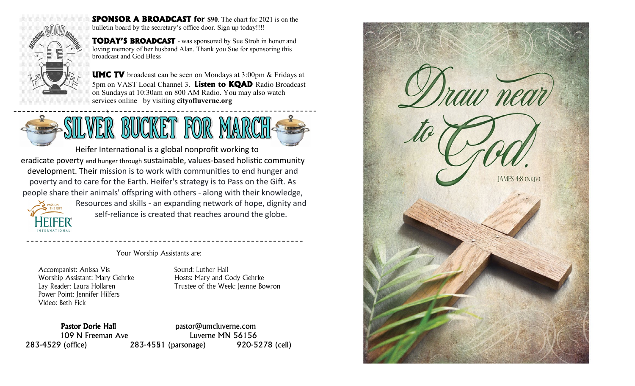

**SPONSOR A BROADCAST for \$90**. The chart for 2021 is on the bulletin board by the secretary's office door. Sign up today!!!!

**TODAY'S BROADCAST -** was sponsored by Sue Stroh in honor and loving memory of her husband Alan. Thank you Sue for sponsoring this broadcast and God Bless

**UMC TV** broadcast can be seen on Mondays at 3:00pm & Fridays at 5pm on VAST Local Channel 3. **Listen to KQAD** Radio Broadcast on Sundays at 10:30am on 800 AM Radio. You may also watch services online by visiting **cityofluverne.org**



Heifer International is a global nonprofit working to eradicate poverty and hunger through sustainable, values-based holistic community development. Their mission is to work with communities to end hunger and poverty and to care for the Earth. Heifer's strategy is to Pass on the Gift. As people share their animals' offspring with others - along with their knowledge,



Resources and skills - an expanding network of hope, dignity and self-reliance is created that reaches around the globe.

Your Worship Assistants are:

Accompanist: Anissa Vis Sound: Luther Hall Worship Assistant: Mary Gehrke Hosts: Mary and Cody Gehrke Power Point: Jennifer Hilfers Video: Beth Fick

Lay Reader: Laura Hollaren Trustee of the Week: Jeanne Bowron

4 283-4529 (office) 283-4551 (parsonage) 920-5278 (cell) Pastor Dorie Hall **Pastor** pastor@umcluverne.com 109 N Freeman Ave Luverne MN 56156